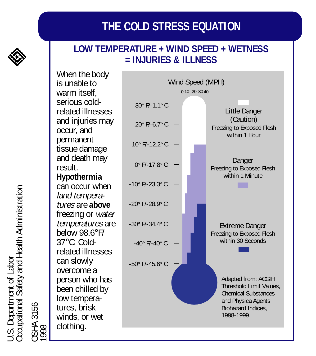# **THE COLD STRESS EQUATION**

#### **LOW TEMPERATURE + WIND SPEED + WETNESS = INJURIES & ILLNESS**

When the body is unable to warm itself. serious coldrelated illnesses and injuries may occur, and permanent tissue damage and death may result. **Hypothermia** can occur when land temperatures are **above** freezing or water temperatures are below 98.6°F/ 37°C. Coldrelated illnesses can slowly overcome a person who has been chilled by low temperatures, brisk winds, or wet clothing.



J.S. Department of Labor<br>Occupational Safety and Health Administration Occupational Safety and Health Administration U.S. Department of Labor OSHA 3156<br>1998

OSHA 3156

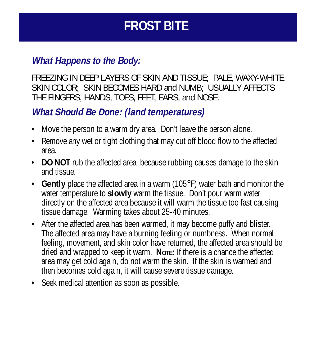# **FROST BITE**

#### **What Happens to the Body:**

FREEZING IN DEEP LAYERS OF SKIN AND TISSUE; PALE, WAXY-WHITE SKIN COLOR; SKIN BECOMES HARD and NUMB; USUALLY AFFECTS THE FINGERS, HANDS, TOES, FEET, EARS, and NOSE.

## **What Should Be Done: (land temperatures)**

- Move the person to a warm dry area. Don't leave the person alone.
- Remove any wet or tight clothing that may cut off blood flow to the affected area.
- **DO NOT** rub the affected area, because rubbing causes damage to the skin and tissue.
- **Gently** place the affected area in a warm (105°F) water bath and monitor the water temperature to **slowly** warm the tissue. Don't pour warm water directly on the affected area because it will warm the tissue too fast causing tissue damage. Warming takes about 25-40 minutes.
- After the affected area has been warmed, it may become puffy and blister. The affected area may have a burning feeling or numbness. When normal feeling, movement, and skin color have returned, the affected area should be dried and wrapped to keep it warm. **NOTE:** If there is a chance the affected area may get cold again, do not warm the skin. If the skin is warmed and then becomes cold again, it will cause severe tissue damage.
- Seek medical attention as soon as possible.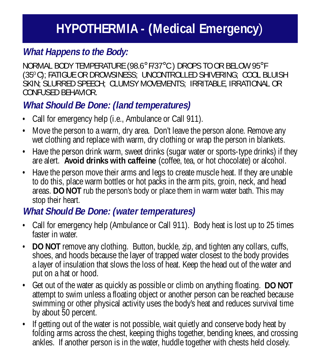# **HYPOTHERMIA - (Medical Emergency**)

## **What Happens to the Body:**

NORMAL BODY TEMPERATURE (98.6° F/37°C ) DROPS TO OR BELOW 95°F (350 C); FATIGUE OR DROWSINESS; UNCONTROLLED SHIVERING; COOL BLUISH SKIN; SLURRED SPEECH; CLUMSY MOVEMENTS; IRRITABLE, IRRATIONAL OR CONFUSED BEHAVIOR.

# **What Should Be Done: (land temperatures)**

- Call for emergency help (i.e., Ambulance or Call 911).
- Move the person to a warm, dry area. Don't leave the person alone. Remove any wet clothing and replace with warm, dry clothing or wrap the person in blankets.
- Have the person drink warm, sweet drinks (sugar water or sports-type drinks) if they are alert. **Avoid drinks with caffeine** (coffee, tea, or hot chocolate) or alcohol.
- Have the person move their arms and legs to create muscle heat. If they are unable to do this, place warm bottles or hot packs in the arm pits, groin, neck, and head areas. **DO NOT** rub the person's body or place them in warm water bath. This may stop their heart.

### **What Should Be Done: (water temperatures)**

- Call for emergency help (Ambulance or Call 911). Body heat is lost up to 25 times faster in water
- **DO NOT** remove any clothing. Button, buckle, zip, and tighten any collars, cuffs, shoes, and hoods because the layer of trapped water closest to the body provides a layer of insulation that slows the loss of heat. Keep the head out of the water and put on a hat or hood.
- Get out of the water as quickly as possible or climb on anything floating. **DO NOT** attempt to swim unless a floating object or another person can be reached because swimming or other physical activity uses the body's heat and reduces survival time by about 50 percent.
- If getting out of the water is not possible, wait quietly and conserve body heat by folding arms across the chest, keeping thighs together, bending knees, and crossing ankles. If another person is in the water, huddle together with chests held closely.